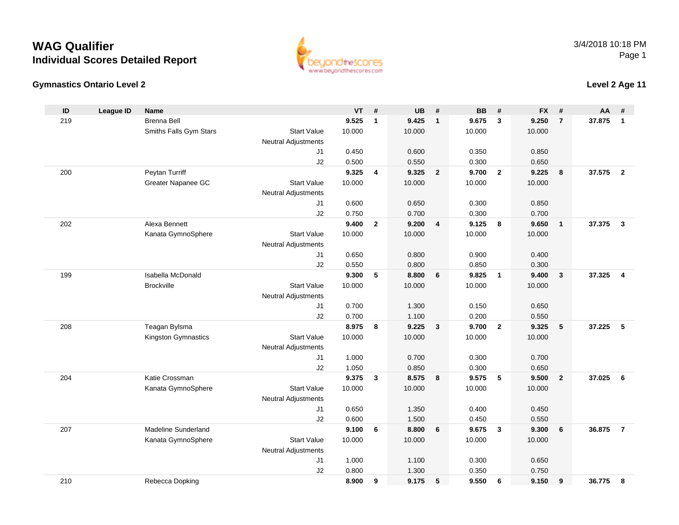### **Gymnastics Ontario Level 2**

**ID**

219

| D  | League ID | <b>Name</b>            |                            | VT     | #            | UB     | -#                      | BВ     | #                       | FX.    | -#  | AA     | - 11 |
|----|-----------|------------------------|----------------------------|--------|--------------|--------|-------------------------|--------|-------------------------|--------|-----|--------|------|
| 19 |           | <b>Brenna Bell</b>     |                            | 9.525  |              | 9.425  |                         | 9.675  | $_{3}$                  | 9.250  | -7  | 37.875 | -1   |
|    |           | Smiths Falls Gym Stars | <b>Start Value</b>         | 10.000 |              | 10.000 |                         | 10.000 |                         | 10.000 |     |        |      |
|    |           |                        | <b>Neutral Adjustments</b> |        |              |        |                         |        |                         |        |     |        |      |
|    |           |                        | J1                         | 0.450  |              | 0.600  |                         | 0.350  |                         | 0.850  |     |        |      |
|    |           |                        | J2                         | 0.500  |              | 0.550  |                         | 0.300  |                         | 0.650  |     |        |      |
| 00 |           | Peytan Turriff         |                            | 9.325  | 4            | 9.325  | $\overline{\mathbf{2}}$ | 9.700  | $\overline{\mathbf{2}}$ | 9.225  | - 8 | 37.575 | -2   |
|    |           | Greater Napanee GC     | <b>Start Value</b>         | 10.000 |              | 10.000 |                         | 10.000 |                         | 10.000 |     |        |      |
|    |           |                        | <b>Neutral Adjustments</b> |        |              |        |                         |        |                         |        |     |        |      |
|    |           |                        | J1                         | 0.600  |              | 0.650  |                         | 0.300  |                         | 0.850  |     |        |      |
|    |           |                        | J <sub>2</sub>             | 0.750  |              | 0.700  |                         | 0.300  |                         | 0.700  |     |        |      |
| 02 |           | Alexa Bennett          |                            | 9.400  | $\mathbf{2}$ | 9.200  | -4                      | 9.125  | 8                       | 9.650  |     | 37.375 | -3   |
|    |           |                        |                            |        |              |        |                         |        |                         |        |     |        |      |

|     |                            | ےں                         | <b>U.OUU</b> |                | ບ.ວວບ  |                         | u.ouu  |                         | <b>U.O.U</b> |                         |        |                         |
|-----|----------------------------|----------------------------|--------------|----------------|--------|-------------------------|--------|-------------------------|--------------|-------------------------|--------|-------------------------|
| 200 | Peytan Turriff             |                            | 9.325        | 4              | 9.325  | $\overline{2}$          | 9.700  | $\overline{2}$          | 9.225        | 8                       | 37.575 | $\overline{\mathbf{2}}$ |
|     | Greater Napanee GC         | <b>Start Value</b>         | 10.000       |                | 10.000 |                         | 10.000 |                         | 10.000       |                         |        |                         |
|     |                            | <b>Neutral Adjustments</b> |              |                |        |                         |        |                         |              |                         |        |                         |
|     |                            | J1                         | 0.600        |                | 0.650  |                         | 0.300  |                         | 0.850        |                         |        |                         |
|     |                            | J2                         | 0.750        |                | 0.700  |                         | 0.300  |                         | 0.700        |                         |        |                         |
| 202 | Alexa Bennett              |                            | 9.400        | $\overline{2}$ | 9.200  | 4                       | 9.125  | 8                       | 9.650        | $\overline{1}$          | 37.375 | $\overline{\mathbf{3}}$ |
|     | Kanata GymnoSphere         | <b>Start Value</b>         | 10.000       |                | 10.000 |                         | 10.000 |                         | 10.000       |                         |        |                         |
|     |                            | <b>Neutral Adjustments</b> |              |                |        |                         |        |                         |              |                         |        |                         |
|     |                            | J <sub>1</sub>             | 0.650        |                | 0.800  |                         | 0.900  |                         | 0.400        |                         |        |                         |
|     |                            | J2                         | 0.550        |                | 0.800  |                         | 0.850  |                         | 0.300        |                         |        |                         |
| 199 | Isabella McDonald          |                            | 9.300        | 5              | 8.800  | 6                       | 9.825  | $\overline{\mathbf{1}}$ | 9.400        | $\overline{\mathbf{3}}$ | 37.325 | $\overline{4}$          |
|     | <b>Brockville</b>          | <b>Start Value</b>         | 10.000       |                | 10.000 |                         | 10.000 |                         | 10.000       |                         |        |                         |
|     |                            | <b>Neutral Adjustments</b> |              |                |        |                         |        |                         |              |                         |        |                         |
|     |                            | J <sub>1</sub>             | 0.700        |                | 1.300  |                         | 0.150  |                         | 0.650        |                         |        |                         |
|     |                            | J2                         | 0.700        |                | 1.100  |                         | 0.200  |                         | 0.550        |                         |        |                         |
| 208 | Teagan Bylsma              |                            | 8.975        | 8              | 9.225  | $\overline{\mathbf{3}}$ | 9.700  | $\overline{2}$          | 9.325        | $5\phantom{1}$          | 37.225 | - 5                     |
|     | Kingston Gymnastics        | <b>Start Value</b>         | 10.000       |                | 10.000 |                         | 10.000 |                         | 10.000       |                         |        |                         |
|     |                            | <b>Neutral Adjustments</b> |              |                |        |                         |        |                         |              |                         |        |                         |
|     |                            | J <sub>1</sub>             | 1.000        |                | 0.700  |                         | 0.300  |                         | 0.700        |                         |        |                         |
|     |                            | J2                         | 1.050        |                | 0.850  |                         | 0.300  |                         | 0.650        |                         |        |                         |
| 204 | Katie Crossman             |                            | 9.375        | $\mathbf{3}$   | 8.575  | 8                       | 9.575  | 5                       | 9.500        | $\overline{2}$          | 37.025 | - 6                     |
|     | Kanata GymnoSphere         | <b>Start Value</b>         | 10.000       |                | 10.000 |                         | 10.000 |                         | 10.000       |                         |        |                         |
|     |                            | Neutral Adjustments        |              |                |        |                         |        |                         |              |                         |        |                         |
|     |                            | J <sub>1</sub>             | 0.650        |                | 1.350  |                         | 0.400  |                         | 0.450        |                         |        |                         |
|     |                            | J2                         | 0.600        |                | 1.500  |                         | 0.450  |                         | 0.550        |                         |        |                         |
| 207 | <b>Madeline Sunderland</b> |                            | 9.100        | 6              | 8.800  | 6                       | 9.675  | $\mathbf{3}$            | 9.300        | 6                       | 36.875 | $\overline{7}$          |
|     | Kanata GymnoSphere         | <b>Start Value</b>         | 10.000       |                | 10.000 |                         | 10.000 |                         | 10.000       |                         |        |                         |
|     |                            | <b>Neutral Adjustments</b> |              |                |        |                         |        |                         |              |                         |        |                         |
|     |                            | J <sub>1</sub>             | 1.000        |                | 1.100  |                         | 0.300  |                         | 0.650        |                         |        |                         |
|     |                            | J2                         | 0.800        |                | 1.300  |                         | 0.350  |                         | 0.750        |                         |        |                         |
| 210 | Rebecca Dopking            |                            | 8.900        | 9              | 9.175  | 5                       | 9.550  | 6                       | 9.150        | 9                       | 36.775 | 8                       |
|     |                            |                            |              |                |        |                         |        |                         |              |                         |        |                         |



### **Level 2 Age 11**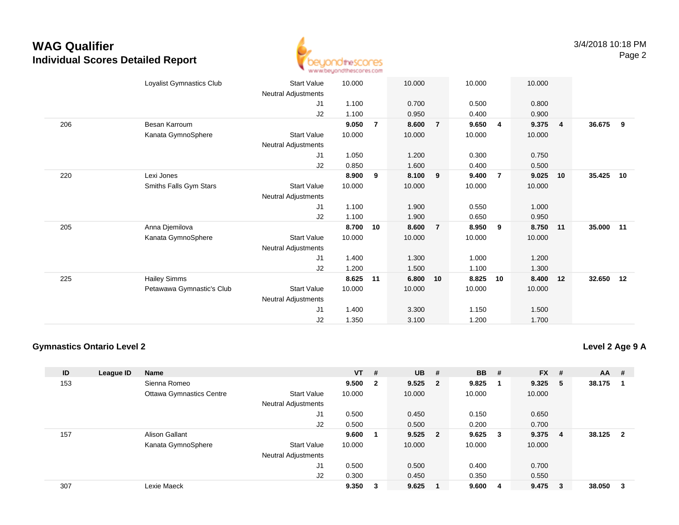

|     | Loyalist Gymnastics Club  | <b>Start Value</b>  | 10.000 |                | 10.000 |                | 10.000 |                | 10.000 |                |        |    |
|-----|---------------------------|---------------------|--------|----------------|--------|----------------|--------|----------------|--------|----------------|--------|----|
|     |                           | Neutral Adjustments |        |                |        |                |        |                |        |                |        |    |
|     |                           | J <sub>1</sub>      | 1.100  |                | 0.700  |                | 0.500  |                | 0.800  |                |        |    |
|     |                           | J2                  | 1.100  |                | 0.950  |                | 0.400  |                | 0.900  |                |        |    |
| 206 | Besan Karroum             |                     | 9.050  | $\overline{7}$ | 8.600  | $\overline{7}$ | 9.650  | $\overline{4}$ | 9.375  | $\overline{4}$ | 36.675 | 9  |
|     | Kanata GymnoSphere        | Start Value         | 10.000 |                | 10.000 |                | 10.000 |                | 10.000 |                |        |    |
|     |                           | Neutral Adjustments |        |                |        |                |        |                |        |                |        |    |
|     |                           | J <sub>1</sub>      | 1.050  |                | 1.200  |                | 0.300  |                | 0.750  |                |        |    |
|     |                           | J2                  | 0.850  |                | 1.600  |                | 0.400  |                | 0.500  |                |        |    |
| 220 | Lexi Jones                |                     | 8.900  | 9              | 8.100  | 9              | 9.400  | $\overline{7}$ | 9.025  | 10             | 35.425 | 10 |
|     | Smiths Falls Gym Stars    | <b>Start Value</b>  | 10.000 |                | 10.000 |                | 10.000 |                | 10.000 |                |        |    |
|     |                           | Neutral Adjustments |        |                |        |                |        |                |        |                |        |    |
|     |                           | J1                  | 1.100  |                | 1.900  |                | 0.550  |                | 1.000  |                |        |    |
|     |                           | J2                  | 1.100  |                | 1.900  |                | 0.650  |                | 0.950  |                |        |    |
| 205 | Anna Djemilova            |                     | 8.700  | 10             | 8.600  | $\overline{7}$ | 8.950  | 9              | 8.750  | 11             | 35.000 | 11 |
|     | Kanata GymnoSphere        | <b>Start Value</b>  | 10.000 |                | 10.000 |                | 10.000 |                | 10.000 |                |        |    |
|     |                           | Neutral Adjustments |        |                |        |                |        |                |        |                |        |    |
|     |                           | J <sub>1</sub>      | 1.400  |                | 1.300  |                | 1.000  |                | 1.200  |                |        |    |
|     |                           | J2                  | 1.200  |                | 1.500  |                | 1.100  |                | 1.300  |                |        |    |
| 225 | <b>Hailey Simms</b>       |                     | 8.625  | 11             | 6.800  | 10             | 8.825  | 10             | 8.400  | 12             | 32.650 | 12 |
|     | Petawawa Gymnastic's Club | <b>Start Value</b>  | 10.000 |                | 10.000 |                | 10.000 |                | 10.000 |                |        |    |
|     |                           | Neutral Adjustments |        |                |        |                |        |                |        |                |        |    |
|     |                           | J <sub>1</sub>      | 1.400  |                | 3.300  |                | 1.150  |                | 1.500  |                |        |    |
|     |                           | J2                  | 1.350  |                | 3.100  |                | 1.200  |                | 1.700  |                |        |    |
|     |                           |                     |        |                |        |                |        |                |        |                |        |    |

### **Gymnastics Ontario Level 2**

**Level 2 Age 9 A**

| ID  | League ID | <b>Name</b>                     |                            | $VT$ # |              | <b>UB</b> | #                       | <b>BB</b> | -#                      | <b>FX</b> | #  | AA     | #              |
|-----|-----------|---------------------------------|----------------------------|--------|--------------|-----------|-------------------------|-----------|-------------------------|-----------|----|--------|----------------|
| 153 |           | Sienna Romeo                    |                            | 9.500  | $\mathbf{2}$ | 9.525     | $\overline{\mathbf{2}}$ | 9.825     |                         | 9.325     | 5  | 38.175 |                |
|     |           | <b>Ottawa Gymnastics Centre</b> | <b>Start Value</b>         | 10.000 |              | 10.000    |                         | 10.000    |                         | 10.000    |    |        |                |
|     |           |                                 | <b>Neutral Adjustments</b> |        |              |           |                         |           |                         |           |    |        |                |
|     |           |                                 | J <sub>1</sub>             | 0.500  |              | 0.450     |                         | 0.150     |                         | 0.650     |    |        |                |
|     |           |                                 | J2                         | 0.500  |              | 0.500     |                         | 0.200     |                         | 0.700     |    |        |                |
| 157 |           | <b>Alison Gallant</b>           |                            | 9.600  |              | 9.525     | $\overline{\mathbf{2}}$ | 9.625     | $\overline{\mathbf{3}}$ | 9.375     | 4  | 38.125 | $\overline{2}$ |
|     |           | Kanata GymnoSphere              | <b>Start Value</b>         | 10.000 |              | 10.000    |                         | 10.000    |                         | 10.000    |    |        |                |
|     |           |                                 | <b>Neutral Adjustments</b> |        |              |           |                         |           |                         |           |    |        |                |
|     |           |                                 | J <sub>1</sub>             | 0.500  |              | 0.500     |                         | 0.400     |                         | 0.700     |    |        |                |
|     |           |                                 | J2                         | 0.300  |              | 0.450     |                         | 0.350     |                         | 0.550     |    |        |                |
| 307 |           | Lexie Maeck                     |                            | 9.350  | 3            | 9.625     |                         | 9.600     | -4                      | 9.475     | -3 | 38.050 | 3              |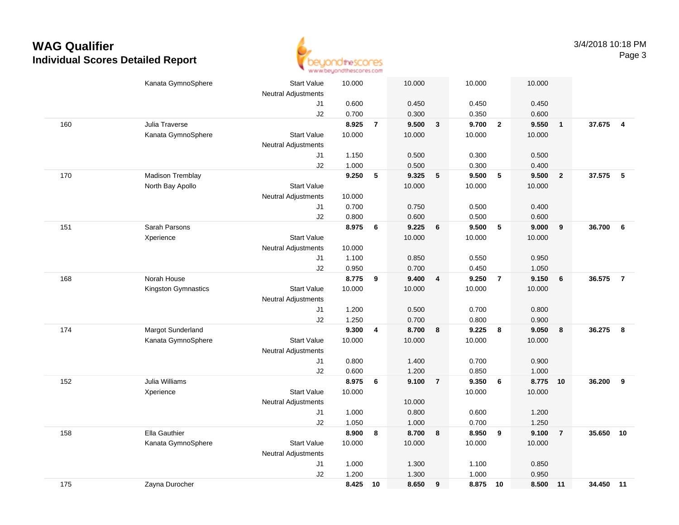

|     | Kanata GymnoSphere  | <b>Start Value</b>         | 10.000 |                 | 10.000         |                         | 10.000         |                 | 10.000         |                  |           |                |
|-----|---------------------|----------------------------|--------|-----------------|----------------|-------------------------|----------------|-----------------|----------------|------------------|-----------|----------------|
|     |                     | <b>Neutral Adjustments</b> |        |                 |                |                         |                |                 |                |                  |           |                |
|     |                     | J1                         | 0.600  |                 | 0.450          |                         | 0.450          |                 | 0.450          |                  |           |                |
|     |                     | J2                         | 0.700  |                 | 0.300          |                         | 0.350          |                 | 0.600          |                  |           |                |
| 160 | Julia Traverse      |                            | 8.925  | $\overline{7}$  | 9.500          | $\mathbf{3}$            | 9.700          | $\overline{2}$  | 9.550          | $\overline{1}$   | 37.675    | $\overline{4}$ |
|     | Kanata GymnoSphere  | <b>Start Value</b>         | 10.000 |                 | 10.000         |                         | 10.000         |                 | 10.000         |                  |           |                |
|     |                     | <b>Neutral Adjustments</b> |        |                 |                |                         |                |                 |                |                  |           |                |
|     |                     | J1                         | 1.150  |                 | 0.500          |                         | 0.300          |                 | 0.500          |                  |           |                |
|     |                     | J2                         | 1.000  |                 | 0.500          |                         | 0.300          |                 | 0.400          |                  |           |                |
| 170 | Madison Tremblay    |                            | 9.250  | ${\bf 5}$       | 9.325          | 5                       | 9.500          | 5               | 9.500          | $\overline{2}$   | 37.575 5  |                |
|     | North Bay Apollo    | <b>Start Value</b>         |        |                 | 10.000         |                         | 10.000         |                 | 10.000         |                  |           |                |
|     |                     | <b>Neutral Adjustments</b> | 10.000 |                 |                |                         |                |                 |                |                  |           |                |
|     |                     | J1                         | 0.700  |                 | 0.750          |                         | 0.500          |                 | 0.400          |                  |           |                |
|     |                     | J2                         | 0.800  |                 | 0.600          |                         | 0.500          |                 | 0.600          |                  | 36.700    |                |
| 151 | Sarah Parsons       |                            | 8.975  | $6\phantom{1}6$ | 9.225          | 6                       | 9.500          | 5               | 9.000          | $\boldsymbol{9}$ |           | 6              |
|     | Xperience           | <b>Start Value</b>         |        |                 | 10.000         |                         | 10.000         |                 | 10.000         |                  |           |                |
|     |                     | <b>Neutral Adjustments</b> | 10.000 |                 |                |                         |                |                 |                |                  |           |                |
|     |                     | J1                         | 1.100  |                 | 0.850          |                         | 0.550          |                 | 0.950          |                  |           |                |
|     | Norah House         | J2                         | 0.950  |                 | 0.700<br>9.400 |                         | 0.450<br>9.250 | $\overline{7}$  | 1.050<br>9.150 |                  |           |                |
| 168 |                     |                            | 8.775  | 9               |                | $\overline{\mathbf{4}}$ |                |                 |                | 6                | 36.575    | $\overline{7}$ |
|     | Kingston Gymnastics | <b>Start Value</b>         | 10.000 |                 | 10.000         |                         | 10.000         |                 | 10.000         |                  |           |                |
|     |                     | <b>Neutral Adjustments</b> | 1.200  |                 | 0.500          |                         |                |                 |                |                  |           |                |
|     |                     | J1<br>J2                   | 1.250  |                 | 0.700          |                         | 0.700<br>0.800 |                 | 0.800<br>0.900 |                  |           |                |
| 174 | Margot Sunderland   |                            | 9.300  | 4               | 8.700          | 8                       | 9.225          | 8               | 9.050          | 8                | 36.275    | 8              |
|     | Kanata GymnoSphere  | <b>Start Value</b>         | 10.000 |                 | 10.000         |                         | 10.000         |                 | 10.000         |                  |           |                |
|     |                     | <b>Neutral Adjustments</b> |        |                 |                |                         |                |                 |                |                  |           |                |
|     |                     | J1                         | 0.800  |                 | 1.400          |                         | 0.700          |                 | 0.900          |                  |           |                |
|     |                     | J2                         | 0.600  |                 | 1.200          |                         | 0.850          |                 | 1.000          |                  |           |                |
| 152 | Julia Williams      |                            | 8.975  | 6               | 9.100          | $\overline{7}$          | 9.350          | $6\phantom{1}6$ | 8.775          | 10               | 36.200    | 9              |
|     | Xperience           | <b>Start Value</b>         | 10.000 |                 |                |                         | 10.000         |                 | 10.000         |                  |           |                |
|     |                     | <b>Neutral Adjustments</b> |        |                 | 10.000         |                         |                |                 |                |                  |           |                |
|     |                     | J1                         | 1.000  |                 | 0.800          |                         | 0.600          |                 | 1.200          |                  |           |                |
|     |                     | J2                         | 1.050  |                 | 1.000          |                         | 0.700          |                 | 1.250          |                  |           |                |
| 158 | Ella Gauthier       |                            | 8.900  | 8               | 8.700          | 8                       | 8.950          | 9               | 9.100          | $\overline{7}$   | 35.650    | 10             |
|     | Kanata GymnoSphere  | <b>Start Value</b>         | 10.000 |                 | 10.000         |                         | 10.000         |                 | 10.000         |                  |           |                |
|     |                     | <b>Neutral Adjustments</b> |        |                 |                |                         |                |                 |                |                  |           |                |
|     |                     | J1                         | 1.000  |                 | 1.300          |                         | 1.100          |                 | 0.850          |                  |           |                |
|     |                     | J2                         | 1.200  |                 | 1.300          |                         | 1.000          |                 | 0.950          |                  |           |                |
| 175 | Zayna Durocher      |                            | 8.425  | 10              | 8.650          | 9                       | 8.875          | 10              | 8.500          | 11               | 34.450 11 |                |
|     |                     |                            |        |                 |                |                         |                |                 |                |                  |           |                |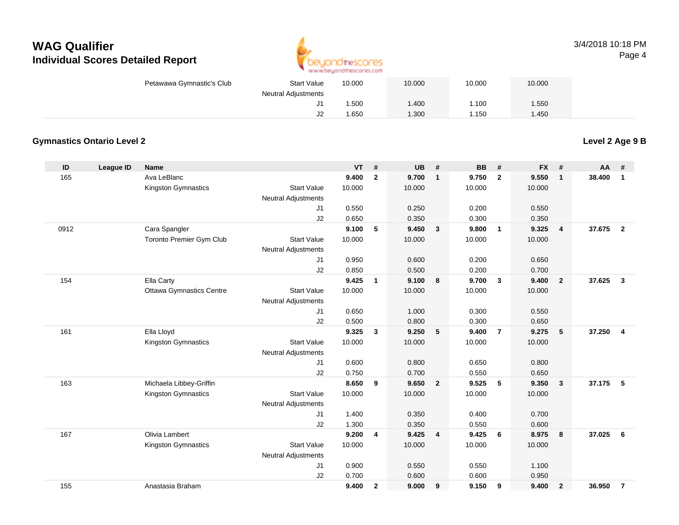

#### 3/4/2018 10:18 PMPage 4

| <b>Start Value</b><br>Petawawa Gymnastic's Club | 10.000     | 10.000 | 10.000 | 10.000 |  |
|-------------------------------------------------|------------|--------|--------|--------|--|
| <b>Neutral Adjustments</b>                      |            |        |        |        |  |
|                                                 | .500<br>J1 | .400   | 1.100  | .550   |  |
|                                                 | J2<br>.650 | .300   | l.150  | .450   |  |

### **Gymnastics Ontario Level 2**

**Level 2 Age 9 B**

| ID   | League ID | <b>Name</b>                     |                            | <b>VT</b> | #              | <b>UB</b> | #                       | <b>BB</b> | #              | <b>FX</b> | #              | <b>AA</b> | #                       |
|------|-----------|---------------------------------|----------------------------|-----------|----------------|-----------|-------------------------|-----------|----------------|-----------|----------------|-----------|-------------------------|
| 165  |           | Ava LeBlanc                     |                            | 9.400     | $\overline{2}$ | 9.700     | $\mathbf{1}$            | 9.750     | $\overline{2}$ | 9.550     | $\mathbf{1}$   | 38,400    | $\mathbf{1}$            |
|      |           | Kingston Gymnastics             | <b>Start Value</b>         | 10.000    |                | 10.000    |                         | 10.000    |                | 10.000    |                |           |                         |
|      |           |                                 | <b>Neutral Adjustments</b> |           |                |           |                         |           |                |           |                |           |                         |
|      |           |                                 | J1                         | 0.550     |                | 0.250     |                         | 0.200     |                | 0.550     |                |           |                         |
|      |           |                                 | J2                         | 0.650     |                | 0.350     |                         | 0.300     |                | 0.350     |                |           |                         |
| 0912 |           | Cara Spangler                   |                            | 9.100     | 5              | 9.450     | $\overline{\mathbf{3}}$ | 9.800     | $\overline{1}$ | 9.325     | $\overline{4}$ | 37.675    | $\overline{2}$          |
|      |           | Toronto Premier Gym Club        | <b>Start Value</b>         | 10.000    |                | 10.000    |                         | 10.000    |                | 10.000    |                |           |                         |
|      |           |                                 | Neutral Adjustments        |           |                |           |                         |           |                |           |                |           |                         |
|      |           |                                 | J <sub>1</sub>             | 0.950     |                | 0.600     |                         | 0.200     |                | 0.650     |                |           |                         |
|      |           |                                 | J2                         | 0.850     |                | 0.500     |                         | 0.200     |                | 0.700     |                |           |                         |
| 154  |           | Ella Carty                      |                            | 9.425     | $\mathbf{1}$   | 9.100     | 8                       | 9.700     | $\mathbf{3}$   | 9.400     | $\overline{2}$ | 37.625    | $\mathbf{3}$            |
|      |           | <b>Ottawa Gymnastics Centre</b> | <b>Start Value</b>         | 10.000    |                | 10.000    |                         | 10.000    |                | 10.000    |                |           |                         |
|      |           |                                 | <b>Neutral Adjustments</b> |           |                |           |                         |           |                |           |                |           |                         |
|      |           |                                 | J1                         | 0.650     |                | 1.000     |                         | 0.300     |                | 0.550     |                |           |                         |
|      |           |                                 | J2                         | 0.500     |                | 0.800     |                         | 0.300     |                | 0.650     |                |           |                         |
| 161  |           | Ella Lloyd                      |                            | 9.325     | $\mathbf{3}$   | 9.250     | $5\phantom{.0}$         | 9.400     | $\overline{7}$ | 9.275     | 5              | 37.250    | $\overline{\mathbf{4}}$ |
|      |           | Kingston Gymnastics             | <b>Start Value</b>         | 10.000    |                | 10.000    |                         | 10.000    |                | 10.000    |                |           |                         |
|      |           |                                 | Neutral Adjustments        |           |                |           |                         |           |                |           |                |           |                         |
|      |           |                                 | J1                         | 0.600     |                | 0.800     |                         | 0.650     |                | 0.800     |                |           |                         |
|      |           |                                 | J2                         | 0.750     |                | 0.700     |                         | 0.550     |                | 0.650     |                |           |                         |
| 163  |           | Michaela Libbey-Griffin         |                            | 8.650     | 9              | 9.650     | $\overline{2}$          | 9.525     | 5              | 9.350     | $\mathbf{3}$   | 37.175    | 5                       |
|      |           | Kingston Gymnastics             | <b>Start Value</b>         | 10.000    |                | 10.000    |                         | 10.000    |                | 10.000    |                |           |                         |
|      |           |                                 | <b>Neutral Adjustments</b> |           |                |           |                         |           |                |           |                |           |                         |
|      |           |                                 | J1                         | 1.400     |                | 0.350     |                         | 0.400     |                | 0.700     |                |           |                         |
|      |           |                                 | J2                         | 1.300     |                | 0.350     |                         | 0.550     |                | 0.600     |                |           |                         |
| 167  |           | Olivia Lambert                  |                            | 9.200     | 4              | 9.425     | $\overline{\mathbf{4}}$ | 9.425     | 6              | 8.975     | 8              | 37.025    | 6                       |
|      |           | Kingston Gymnastics             | <b>Start Value</b>         | 10.000    |                | 10.000    |                         | 10.000    |                | 10.000    |                |           |                         |
|      |           |                                 | <b>Neutral Adjustments</b> |           |                |           |                         |           |                |           |                |           |                         |
|      |           |                                 | J <sub>1</sub>             | 0.900     |                | 0.550     |                         | 0.550     |                | 1.100     |                |           |                         |
|      |           |                                 | J2                         | 0.700     |                | 0.600     |                         | 0.600     |                | 0.950     |                |           |                         |
| 155  |           | Anastasia Braham                |                            | 9.400     | $\overline{2}$ | 9.000     | 9                       | 9.150     | 9              | 9.400     | $\overline{2}$ | 36.950    | $\overline{7}$          |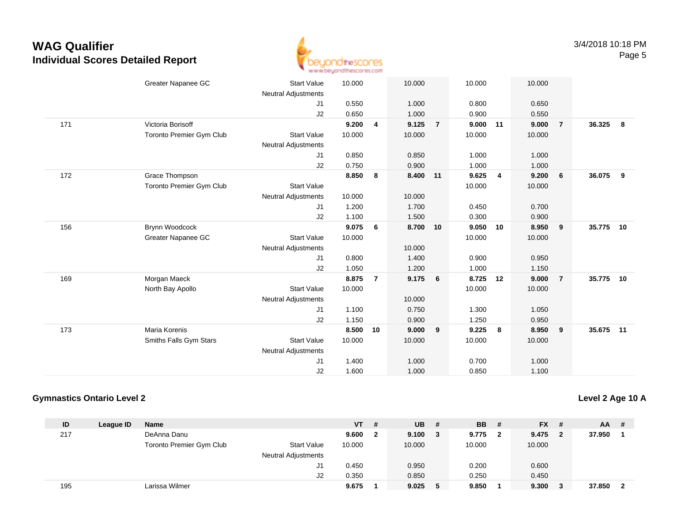

|     | Greater Napanee GC       | <b>Start Value</b><br>Neutral Adjustments | 10.000 |                | 10.000   |                 | 10.000 |                | 10.000 |                         |           |    |
|-----|--------------------------|-------------------------------------------|--------|----------------|----------|-----------------|--------|----------------|--------|-------------------------|-----------|----|
|     |                          | J1                                        | 0.550  |                | 1.000    |                 | 0.800  |                | 0.650  |                         |           |    |
|     |                          | J2                                        | 0.650  |                | 1.000    |                 | 0.900  |                | 0.550  |                         |           |    |
| 171 | Victoria Borisoff        |                                           | 9.200  | 4              | 9.125    | $\overline{7}$  | 9.000  | 11             | 9.000  | $\overline{7}$          | 36.325    | 8  |
|     | Toronto Premier Gym Club | <b>Start Value</b>                        | 10.000 |                | 10.000   |                 | 10.000 |                | 10.000 |                         |           |    |
|     |                          | <b>Neutral Adjustments</b>                |        |                |          |                 |        |                |        |                         |           |    |
|     |                          | J1                                        | 0.850  |                | 0.850    |                 | 1.000  |                | 1.000  |                         |           |    |
|     |                          | J2                                        | 0.750  |                | 0.900    |                 | 1.000  |                | 1.000  |                         |           |    |
| 172 | Grace Thompson           |                                           | 8.850  | 8              | 8.400 11 |                 | 9.625  | $\overline{4}$ | 9.200  | 6                       | 36.075    | 9  |
|     | Toronto Premier Gym Club | <b>Start Value</b>                        |        |                |          |                 | 10.000 |                | 10.000 |                         |           |    |
|     |                          | Neutral Adjustments                       | 10.000 |                | 10.000   |                 |        |                |        |                         |           |    |
|     |                          | J1                                        | 1.200  |                | 1.700    |                 | 0.450  |                | 0.700  |                         |           |    |
|     |                          | J2                                        | 1.100  |                | 1.500    |                 | 0.300  |                | 0.900  |                         |           |    |
| 156 | Brynn Woodcock           |                                           | 9.075  | 6              | 8.700 10 |                 | 9.050  | 10             | 8.950  | $\overline{\mathbf{9}}$ | 35.775    | 10 |
|     | Greater Napanee GC       | <b>Start Value</b>                        | 10.000 |                |          |                 | 10.000 |                | 10.000 |                         |           |    |
|     |                          | <b>Neutral Adjustments</b>                |        |                | 10.000   |                 |        |                |        |                         |           |    |
|     |                          | J1                                        | 0.800  |                | 1.400    |                 | 0.900  |                | 0.950  |                         |           |    |
|     |                          | J2                                        | 1.050  |                | 1.200    |                 | 1.000  |                | 1.150  |                         |           |    |
| 169 | Morgan Maeck             |                                           | 8.875  | $\overline{7}$ | 9.175    | $6\overline{6}$ | 8.725  | 12             | 9.000  | $\overline{7}$          | 35.775    | 10 |
|     | North Bay Apollo         | <b>Start Value</b>                        | 10.000 |                |          |                 | 10.000 |                | 10.000 |                         |           |    |
|     |                          | Neutral Adjustments                       |        |                | 10.000   |                 |        |                |        |                         |           |    |
|     |                          | J1                                        | 1.100  |                | 0.750    |                 | 1.300  |                | 1.050  |                         |           |    |
|     |                          | J2                                        | 1.150  |                | 0.900    |                 | 1.250  |                | 0.950  |                         |           |    |
| 173 | <b>Maria Korenis</b>     |                                           | 8.500  | 10             | 9.000    | 9               | 9.225  | 8              | 8.950  | $_{9}$                  | 35.675 11 |    |
|     | Smiths Falls Gym Stars   | <b>Start Value</b>                        | 10.000 |                | 10.000   |                 | 10.000 |                | 10.000 |                         |           |    |
|     |                          | <b>Neutral Adjustments</b>                |        |                |          |                 |        |                |        |                         |           |    |
|     |                          | J <sub>1</sub>                            | 1.400  |                | 1.000    |                 | 0.700  |                | 1.000  |                         |           |    |
|     |                          | J2                                        | 1.600  |                | 1.000    |                 | 0.850  |                | 1.100  |                         |           |    |

### **Gymnastics Ontario Level 2**

**Level 2 Age 10 A**

| ID  | League ID | <b>Name</b>              |                            | <b>VT</b> | # | <b>UB</b> | # | <b>BB</b> # |    | $FX$ #  | <b>AA</b> | - # |
|-----|-----------|--------------------------|----------------------------|-----------|---|-----------|---|-------------|----|---------|-----------|-----|
| 217 |           | DeAnna Danu              |                            | 9.600     |   | 9.100     | 3 | 9.775       | -2 | 9.475 2 | 37.950    |     |
|     |           | Toronto Premier Gym Club | <b>Start Value</b>         | 10.000    |   | 10.000    |   | 10.000      |    | 10.000  |           |     |
|     |           |                          | <b>Neutral Adjustments</b> |           |   |           |   |             |    |         |           |     |
|     |           |                          | J1                         | 0.450     |   | 0.950     |   | 0.200       |    | 0.600   |           |     |
|     |           |                          | J2                         | 0.350     |   | 0.850     |   | 0.250       |    | 0.450   |           |     |
| 195 |           | Larissa Wilmer           |                            | 9.675     |   | 9.025     |   | 9.850       |    | 9.300   | 37.850    | - 2 |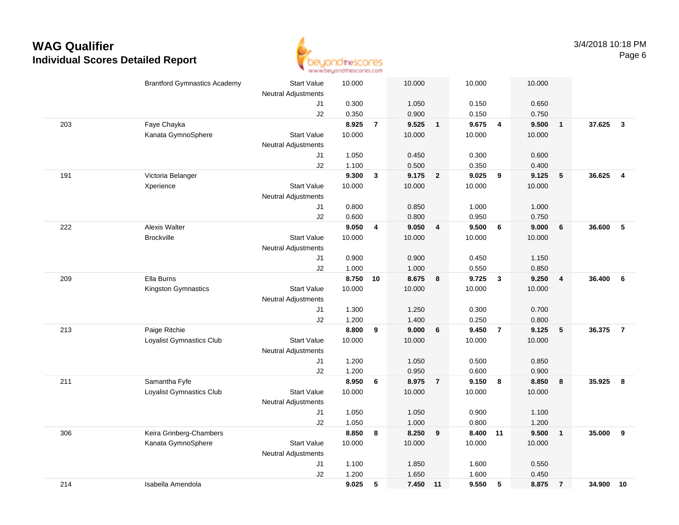

|     | <b>Brantford Gymnastics Academy</b> | <b>Start Value</b>               | 10.000         |                | 10.000         |                         | 10.000         |                         | 10.000         |                         |        |                         |
|-----|-------------------------------------|----------------------------------|----------------|----------------|----------------|-------------------------|----------------|-------------------------|----------------|-------------------------|--------|-------------------------|
|     |                                     | Neutral Adjustments              |                |                |                |                         |                |                         |                |                         |        |                         |
|     |                                     | J1                               | 0.300          |                | 1.050          |                         | 0.150          |                         | 0.650          |                         |        |                         |
|     |                                     | J2                               | 0.350          |                | 0.900          |                         | 0.150          |                         | 0.750          |                         |        |                         |
| 203 | Faye Chayka                         |                                  | 8.925          | $\overline{7}$ | 9.525          | $\overline{\mathbf{1}}$ | 9.675          | $\overline{4}$          | 9.500          | $\overline{\mathbf{1}}$ | 37.625 | $\overline{\mathbf{3}}$ |
|     | Kanata GymnoSphere                  | <b>Start Value</b>               | 10.000         |                | 10.000         |                         | 10.000         |                         | 10.000         |                         |        |                         |
|     |                                     | <b>Neutral Adjustments</b>       |                |                |                |                         |                |                         |                |                         |        |                         |
|     |                                     | J1                               | 1.050          |                | 0.450          |                         | 0.300          |                         | 0.600          |                         |        |                         |
|     |                                     | J2                               | 1.100          |                | 0.500          |                         | 0.350          |                         | 0.400          |                         |        |                         |
| 191 | Victoria Belanger                   |                                  | 9.300          | 3              | 9.175          | $\overline{2}$          | 9.025          | 9                       | 9.125          | 5                       | 36.625 | $\overline{\mathbf{4}}$ |
|     | Xperience                           | <b>Start Value</b>               | 10.000         |                | 10.000         |                         | 10.000         |                         | 10.000         |                         |        |                         |
|     |                                     | Neutral Adjustments              |                |                |                |                         |                |                         |                |                         |        |                         |
|     |                                     | J1                               | 0.800          |                | 0.850          |                         | 1.000          |                         | 1.000          |                         |        |                         |
|     |                                     | J2                               | 0.600          |                | 0.800          |                         | 0.950          |                         | 0.750          |                         |        |                         |
| 222 | <b>Alexis Walter</b>                |                                  | 9.050          | 4              | 9.050          | $\overline{\mathbf{4}}$ | 9.500          | 6                       | 9.000          | 6                       | 36.600 | 5                       |
|     | <b>Brockville</b>                   | <b>Start Value</b>               | 10.000         |                | 10.000         |                         | 10.000         |                         | 10.000         |                         |        |                         |
|     |                                     | <b>Neutral Adjustments</b>       |                |                |                |                         |                |                         |                |                         |        |                         |
|     |                                     | J1                               | 0.900          |                | 0.900          |                         | 0.450          |                         | 1.150          |                         |        |                         |
|     |                                     | J2                               | 1.000          |                | 1.000          |                         | 0.550          |                         | 0.850          |                         |        |                         |
| 209 | Ella Burns                          |                                  | 8.750          | 10             | 8.675          | 8                       | 9.725          | $\overline{\mathbf{3}}$ | 9.250          | $\overline{\mathbf{4}}$ | 36.400 | 6                       |
|     | Kingston Gymnastics                 | <b>Start Value</b>               | 10.000         |                | 10.000         |                         | 10.000         |                         | 10.000         |                         |        |                         |
|     |                                     | <b>Neutral Adjustments</b>       |                |                |                |                         |                |                         |                |                         |        |                         |
|     |                                     | J1                               | 1.300          |                | 1.250          |                         | 0.300          |                         | 0.700          |                         |        |                         |
|     |                                     | J2                               | 1.200          |                | 1.400          |                         | 0.250          |                         | 0.800          |                         |        |                         |
| 213 | Paige Ritchie                       |                                  | 8.800          | 9              | 9.000          | 6                       | 9.450          | $\overline{7}$          | 9.125          | $\sqrt{5}$              | 36.375 | $\overline{7}$          |
|     | Loyalist Gymnastics Club            | <b>Start Value</b>               | 10.000         |                | 10.000         |                         | 10.000         |                         | 10.000         |                         |        |                         |
|     |                                     | Neutral Adjustments              |                |                |                |                         |                |                         |                |                         |        |                         |
|     |                                     | J1                               | 1.200<br>1.200 |                | 1.050<br>0.950 |                         | 0.500<br>0.600 |                         | 0.850<br>0.900 |                         |        |                         |
| 211 | Samantha Fyfe                       | J2                               | 8.950          | 6              | 8.975          | $\overline{7}$          | 9.150          | 8                       | 8.850          | 8                       | 35.925 | 8                       |
|     | Loyalist Gymnastics Club            | <b>Start Value</b>               | 10.000         |                | 10.000         |                         | 10.000         |                         | 10.000         |                         |        |                         |
|     |                                     |                                  |                |                |                |                         |                |                         |                |                         |        |                         |
|     |                                     | <b>Neutral Adjustments</b><br>J1 | 1.050          |                | 1.050          |                         | 0.900          |                         | 1.100          |                         |        |                         |
|     |                                     | J2                               | 1.050          |                | 1.000          |                         | 0.800          |                         | 1.200          |                         |        |                         |
| 306 | Keira Grinberg-Chambers             |                                  | 8.850          | 8              | 8.250          | 9                       | 8.400          | 11                      | 9.500          | $\overline{\mathbf{1}}$ | 35.000 | 9                       |
|     | Kanata GymnoSphere                  | <b>Start Value</b>               | 10.000         |                | 10.000         |                         | 10.000         |                         | 10.000         |                         |        |                         |
|     |                                     | Neutral Adjustments              |                |                |                |                         |                |                         |                |                         |        |                         |
|     |                                     | J1                               | 1.100          |                | 1.850          |                         | 1.600          |                         | 0.550          |                         |        |                         |
|     |                                     | J2                               | 1.200          |                | 1.650          |                         | 1.600          |                         | 0.450          |                         |        |                         |
| 214 | Isabella Amendola                   |                                  | 9.025          | 5              | 7.450          | 11                      | 9.550          | 5                       | 8.875          | $\overline{7}$          | 34.900 | 10                      |
|     |                                     |                                  |                |                |                |                         |                |                         |                |                         |        |                         |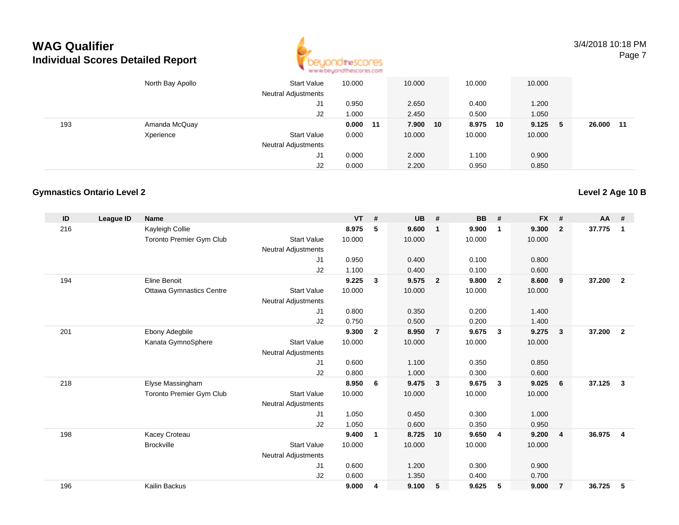

3/4/2018 10:18 PMPage 7

|     | North Bay Apollo | <b>Start Value</b><br><b>Neutral Adjustments</b> | 10.000     | 10.000      | 10.000      | 10.000      |              |
|-----|------------------|--------------------------------------------------|------------|-------------|-------------|-------------|--------------|
|     |                  | J1                                               | 0.950      | 2.650       | 0.400       | 1.200       |              |
|     |                  | J2                                               | 1.000      | 2.450       | 0.500       | 1.050       |              |
| 193 | Amanda McQuay    |                                                  | $0.000$ 11 | 7.900<br>10 | 8.975<br>10 | 9.125<br>-5 | 26.000<br>11 |
|     | Xperience        | <b>Start Value</b>                               | 0.000      | 10.000      | 10.000      | 10.000      |              |
|     |                  | <b>Neutral Adjustments</b>                       |            |             |             |             |              |
|     |                  | J1                                               | 0.000      | 2.000       | 1.100       | 0.900       |              |
|     |                  | J2                                               | 0.000      | 2.200       | 0.950       | 0.850       |              |

#### **Gymnastics Ontario Level 2**

| ID  | League ID | <b>Name</b>                     |                            | <b>VT</b> | #              | <b>UB</b> | #                       | <b>BB</b> | #              | <b>FX</b> | #                       | $AA$ # |                         |
|-----|-----------|---------------------------------|----------------------------|-----------|----------------|-----------|-------------------------|-----------|----------------|-----------|-------------------------|--------|-------------------------|
| 216 |           | Kayleigh Collie                 |                            | 8.975     | 5              | 9.600     | $\overline{1}$          | 9.900     | $\mathbf 1$    | 9.300     | $\overline{2}$          | 37.775 | 1                       |
|     |           | <b>Toronto Premier Gym Club</b> | <b>Start Value</b>         | 10.000    |                | 10.000    |                         | 10.000    |                | 10.000    |                         |        |                         |
|     |           |                                 | <b>Neutral Adjustments</b> |           |                |           |                         |           |                |           |                         |        |                         |
|     |           |                                 | J1                         | 0.950     |                | 0.400     |                         | 0.100     |                | 0.800     |                         |        |                         |
|     |           |                                 | J2                         | 1.100     |                | 0.400     |                         | 0.100     |                | 0.600     |                         |        |                         |
| 194 |           | Eline Benoit                    |                            | 9.225     | $\mathbf{3}$   | 9.575     | $\overline{\mathbf{2}}$ | 9.800     | $\overline{2}$ | 8.600     | 9                       | 37.200 | $\overline{2}$          |
|     |           | <b>Ottawa Gymnastics Centre</b> | <b>Start Value</b>         | 10.000    |                | 10.000    |                         | 10.000    |                | 10.000    |                         |        |                         |
|     |           |                                 | <b>Neutral Adjustments</b> |           |                |           |                         |           |                |           |                         |        |                         |
|     |           |                                 | J1                         | 0.800     |                | 0.350     |                         | 0.200     |                | 1.400     |                         |        |                         |
|     |           |                                 | J2                         | 0.750     |                | 0.500     |                         | 0.200     |                | 1.400     |                         |        |                         |
| 201 |           | Ebony Adegbile                  |                            | 9.300     | $\overline{2}$ | 8.950     | $\overline{7}$          | 9.675     | $\mathbf{3}$   | 9.275     | $\overline{\mathbf{3}}$ | 37.200 | $\overline{2}$          |
|     |           | Kanata GymnoSphere              | <b>Start Value</b>         | 10.000    |                | 10.000    |                         | 10.000    |                | 10.000    |                         |        |                         |
|     |           |                                 | <b>Neutral Adjustments</b> |           |                |           |                         |           |                |           |                         |        |                         |
|     |           |                                 | J <sub>1</sub>             | 0.600     |                | 1.100     |                         | 0.350     |                | 0.850     |                         |        |                         |
|     |           |                                 | J2                         | 0.800     |                | 1.000     |                         | 0.300     |                | 0.600     |                         |        |                         |
| 218 |           | Elyse Massingham                |                            | 8.950     | 6              | 9.475     | $\overline{\mathbf{3}}$ | 9.675     | $\mathbf{3}$   | 9.025     | 6                       | 37.125 | $\mathbf{3}$            |
|     |           | <b>Toronto Premier Gym Club</b> | <b>Start Value</b>         | 10.000    |                | 10.000    |                         | 10.000    |                | 10.000    |                         |        |                         |
|     |           |                                 | <b>Neutral Adjustments</b> |           |                |           |                         |           |                |           |                         |        |                         |
|     |           |                                 | J1                         | 1.050     |                | 0.450     |                         | 0.300     |                | 1.000     |                         |        |                         |
|     |           |                                 | J2                         | 1.050     |                | 0.600     |                         | 0.350     |                | 0.950     |                         |        |                         |
| 198 |           | Kacey Croteau                   |                            | 9.400     | 1              | 8.725     | 10                      | 9.650     | $\overline{4}$ | 9.200     | $\overline{4}$          | 36.975 | $\overline{\mathbf{4}}$ |
|     |           | <b>Brockville</b>               | <b>Start Value</b>         | 10.000    |                | 10.000    |                         | 10.000    |                | 10.000    |                         |        |                         |
|     |           |                                 | <b>Neutral Adjustments</b> |           |                |           |                         |           |                |           |                         |        |                         |
|     |           |                                 | J <sub>1</sub>             | 0.600     |                | 1.200     |                         | 0.300     |                | 0.900     |                         |        |                         |
|     |           |                                 | J2                         | 0.600     |                | 1.350     |                         | 0.400     |                | 0.700     |                         |        |                         |
| 196 |           | Kailin Backus                   |                            | 9.000     | 4              | 9.100     | 5                       | 9.625     | 5              | 9.000     | $\overline{7}$          | 36.725 | 5                       |
|     |           |                                 |                            |           |                |           |                         |           |                |           |                         |        |                         |

**Level 2 Age 10 B**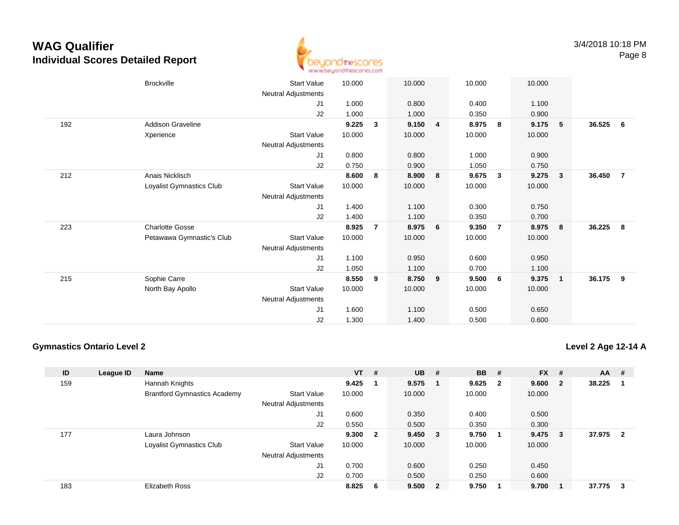

|     | <b>Brockville</b>         | <b>Start Value</b>         | 10.000 |   | 10.000         |                | 10.000         |              | 10.000         |                         |        |                |
|-----|---------------------------|----------------------------|--------|---|----------------|----------------|----------------|--------------|----------------|-------------------------|--------|----------------|
|     |                           | <b>Neutral Adjustments</b> |        |   |                |                |                |              |                |                         |        |                |
|     |                           | J1                         | 1.000  |   | 0.800          |                | 0.400          |              | 1.100          |                         |        |                |
|     |                           | J2                         | 1.000  |   |                |                |                |              |                |                         |        |                |
| 192 | Addison Graveline         |                            | 9.225  | 3 | 1.000<br>9.150 |                | 0.350<br>8.975 | 8            | 0.900<br>9.175 | 5                       | 36.525 | - 6            |
|     |                           |                            |        |   |                | $\overline{4}$ |                |              |                |                         |        |                |
|     | Xperience                 | <b>Start Value</b>         | 10.000 |   | 10.000         |                | 10.000         |              | 10.000         |                         |        |                |
|     |                           | <b>Neutral Adjustments</b> |        |   |                |                |                |              |                |                         |        |                |
|     |                           | J1                         | 0.800  |   | 0.800          |                | 1.000          |              | 0.900          |                         |        |                |
|     |                           | J2                         | 0.750  |   | 0.900          |                | 1.050          |              | 0.750          |                         |        |                |
| 212 | Anais Nicklisch           |                            | 8.600  | 8 | 8.900          | 8              | 9.675          | $\mathbf{3}$ | 9.275          | $\overline{\mathbf{3}}$ | 36.450 | $\overline{7}$ |
|     | Loyalist Gymnastics Club  | Start Value                | 10.000 |   | 10.000         |                | 10.000         |              | 10.000         |                         |        |                |
|     |                           | <b>Neutral Adjustments</b> |        |   |                |                |                |              |                |                         |        |                |
|     |                           | J1                         | 1.400  |   | 1.100          |                | 0.300          |              | 0.750          |                         |        |                |
|     |                           | J2                         | 1.400  |   | 1.100          |                | 0.350          |              | 0.700          |                         |        |                |
| 223 | <b>Charlotte Gosse</b>    |                            | 8.925  | 7 | 8.975          | 6              | 9.350          | 7            | 8.975          | - 8                     | 36.225 | - 8            |
|     | Petawawa Gymnastic's Club | <b>Start Value</b>         | 10.000 |   | 10.000         |                | 10.000         |              | 10.000         |                         |        |                |
|     |                           |                            |        |   |                |                |                |              |                |                         |        |                |
|     |                           | <b>Neutral Adjustments</b> |        |   |                |                |                |              |                |                         |        |                |
|     |                           | J1                         | 1.100  |   | 0.950          |                | 0.600          |              | 0.950          |                         |        |                |
|     |                           | J2                         | 1.050  |   | 1.100          |                | 0.700          |              | 1.100          |                         |        |                |
| 215 | Sophie Carre              |                            | 8.550  | 9 | 8.750          | 9              | 9.500          | 6            | 9.375          | $\overline{1}$          | 36.175 | - 9            |
|     | North Bay Apollo          | Start Value                | 10.000 |   | 10.000         |                | 10.000         |              | 10.000         |                         |        |                |
|     |                           | <b>Neutral Adjustments</b> |        |   |                |                |                |              |                |                         |        |                |
|     |                           | J1                         | 1.600  |   | 1.100          |                | 0.500          |              | 0.650          |                         |        |                |
|     |                           | J <sub>2</sub>             | 1.300  |   | 1.400          |                | 0.500          |              | 0.600          |                         |        |                |
|     |                           |                            |        |   |                |                |                |              |                |                         |        |                |

### **Gymnastics Ontario Level 2**

**Level 2 Age 12-14 A**

| ID  | League ID | <b>Name</b>                         |                            | $VT$ # |                         | <b>UB</b> | - #                     | <b>BB</b> | #  | <b>FX</b> | #            | <b>AA</b> | #              |
|-----|-----------|-------------------------------------|----------------------------|--------|-------------------------|-----------|-------------------------|-----------|----|-----------|--------------|-----------|----------------|
| 159 |           | Hannah Knights                      |                            | 9.425  |                         | 9.575     |                         | 9.625     | -2 | 9.600     | $\mathbf{2}$ | 38.225    |                |
|     |           | <b>Brantford Gymnastics Academy</b> | <b>Start Value</b>         | 10.000 |                         | 10.000    |                         | 10.000    |    | 10.000    |              |           |                |
|     |           |                                     | <b>Neutral Adjustments</b> |        |                         |           |                         |           |    |           |              |           |                |
|     |           |                                     | J1                         | 0.600  |                         | 0.350     |                         | 0.400     |    | 0.500     |              |           |                |
|     |           |                                     | J2                         | 0.550  |                         | 0.500     |                         | 0.350     |    | 0.300     |              |           |                |
| 177 |           | Laura Johnson                       |                            | 9.300  | $\overline{\mathbf{2}}$ | 9.450     | $_{3}$                  | 9.750     |    | 9.475     | 3            | 37.975    | $\overline{2}$ |
|     |           | Loyalist Gymnastics Club            | <b>Start Value</b>         | 10.000 |                         | 10.000    |                         | 10.000    |    | 10.000    |              |           |                |
|     |           |                                     | <b>Neutral Adjustments</b> |        |                         |           |                         |           |    |           |              |           |                |
|     |           |                                     | J1                         | 0.700  |                         | 0.600     |                         | 0.250     |    | 0.450     |              |           |                |
|     |           |                                     | J <sub>2</sub>             | 0.700  |                         | 0.500     |                         | 0.250     |    | 0.600     |              |           |                |
| 183 |           | <b>Elizabeth Ross</b>               |                            | 8.825  | 6                       | 9.500     | $\overline{\mathbf{2}}$ | 9.750     |    | 9.700     |              | 37.775    | 3              |
|     |           |                                     |                            |        |                         |           |                         |           |    |           |              |           |                |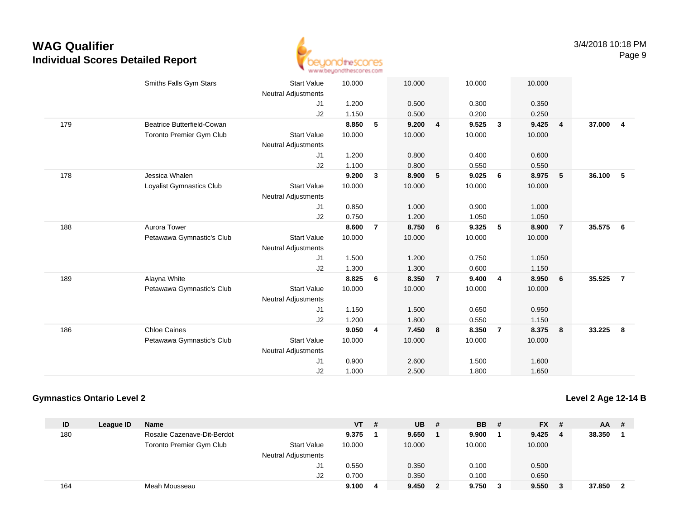

|     | Smiths Falls Gym Stars     | <b>Start Value</b><br><b>Neutral Adjustments</b> | 10.000 |                         | 10.000 |                | 10.000 |                | 10.000 |                |        |                |
|-----|----------------------------|--------------------------------------------------|--------|-------------------------|--------|----------------|--------|----------------|--------|----------------|--------|----------------|
|     |                            | J1                                               | 1.200  |                         | 0.500  |                | 0.300  |                | 0.350  |                |        |                |
|     |                            | J2                                               | 1.150  |                         | 0.500  |                | 0.200  |                | 0.250  |                |        |                |
| 179 | Beatrice Butterfield-Cowan |                                                  | 8.850  | 5                       | 9.200  | 4              | 9.525  | $\mathbf{3}$   | 9.425  | $\overline{4}$ | 37,000 | $\overline{4}$ |
|     | Toronto Premier Gym Club   | <b>Start Value</b>                               | 10.000 |                         | 10.000 |                | 10.000 |                | 10.000 |                |        |                |
|     |                            | <b>Neutral Adjustments</b>                       |        |                         |        |                |        |                |        |                |        |                |
|     |                            | J1                                               | 1.200  |                         | 0.800  |                | 0.400  |                | 0.600  |                |        |                |
|     |                            | J2                                               | 1.100  |                         | 0.800  |                | 0.550  |                | 0.550  |                |        |                |
| 178 | Jessica Whalen             |                                                  | 9.200  | 3                       | 8.900  | 5              | 9.025  | 6              | 8.975  | 5              | 36.100 | - 5            |
|     | Loyalist Gymnastics Club   | <b>Start Value</b>                               | 10.000 |                         | 10.000 |                | 10.000 |                | 10.000 |                |        |                |
|     |                            | <b>Neutral Adjustments</b>                       |        |                         |        |                |        |                |        |                |        |                |
|     |                            | J1                                               | 0.850  |                         | 1.000  |                | 0.900  |                | 1.000  |                |        |                |
|     |                            | J2                                               | 0.750  |                         | 1.200  |                | 1.050  |                | 1.050  |                |        |                |
| 188 | Aurora Tower               |                                                  | 8.600  | $\overline{7}$          | 8.750  | 6              | 9.325  | 5              | 8.900  | $\overline{7}$ | 35.575 | 6              |
|     | Petawawa Gymnastic's Club  | <b>Start Value</b>                               | 10.000 |                         | 10.000 |                | 10.000 |                | 10.000 |                |        |                |
|     |                            | <b>Neutral Adjustments</b>                       |        |                         |        |                |        |                |        |                |        |                |
|     |                            | J1                                               | 1.500  |                         | 1.200  |                | 0.750  |                | 1.050  |                |        |                |
|     |                            | J2                                               | 1.300  |                         | 1.300  |                | 0.600  |                | 1.150  |                |        |                |
| 189 | Alayna White               |                                                  | 8.825  | 6                       | 8.350  | $\overline{7}$ | 9.400  | $\overline{4}$ | 8.950  | 6              | 35.525 | $\overline{7}$ |
|     | Petawawa Gymnastic's Club  | <b>Start Value</b>                               | 10.000 |                         | 10.000 |                | 10.000 |                | 10.000 |                |        |                |
|     |                            | <b>Neutral Adjustments</b>                       |        |                         |        |                |        |                |        |                |        |                |
|     |                            | J1                                               | 1.150  |                         | 1.500  |                | 0.650  |                | 0.950  |                |        |                |
|     |                            | J2                                               | 1.200  |                         | 1.800  |                | 0.550  |                | 1.150  |                |        |                |
| 186 | <b>Chloe Caines</b>        |                                                  | 9.050  | $\overline{\mathbf{4}}$ | 7.450  | 8              | 8.350  | $\overline{7}$ | 8.375  | 8              | 33.225 | 8              |
|     | Petawawa Gymnastic's Club  | <b>Start Value</b>                               | 10.000 |                         | 10.000 |                | 10.000 |                | 10.000 |                |        |                |
|     |                            | <b>Neutral Adjustments</b>                       |        |                         |        |                |        |                |        |                |        |                |
|     |                            | J <sub>1</sub>                                   | 0.900  |                         | 2.600  |                | 1.500  |                | 1.600  |                |        |                |
|     |                            | J2                                               | 1.000  |                         | 2.500  |                | 1.800  |                | 1.650  |                |        |                |
|     |                            |                                                  |        |                         |        |                |        |                |        |                |        |                |

#### **Gymnastics Ontario Level 2**

**Level 2 Age 12-14 B**

| ID  | League ID | <b>Name</b>                 |                            | <b>VT</b> | # | <b>UB</b> | - # | <b>BB</b> | - # | <b>FX</b> | - # | AA.    | # |
|-----|-----------|-----------------------------|----------------------------|-----------|---|-----------|-----|-----------|-----|-----------|-----|--------|---|
| 180 |           | Rosalie Cazenave-Dit-Berdot |                            | 9.375     |   | 9.650     |     | 9.900     |     | 9.425     | -4  | 38.350 |   |
|     |           | Toronto Premier Gym Club    | <b>Start Value</b>         | 10.000    |   | 10.000    |     | 10.000    |     | 10.000    |     |        |   |
|     |           |                             | <b>Neutral Adjustments</b> |           |   |           |     |           |     |           |     |        |   |
|     |           |                             |                            | 0.550     |   | 0.350     |     | 0.100     |     | 0.500     |     |        |   |
|     |           |                             | J2                         | 0.700     |   | 0.350     |     | 0.100     |     | 0.650     |     |        |   |
| 164 |           | Meah Mousseau               |                            | 9.100     | 4 | 9.450     | 2   | 9.750     |     | 9.550     |     | 37.850 |   |